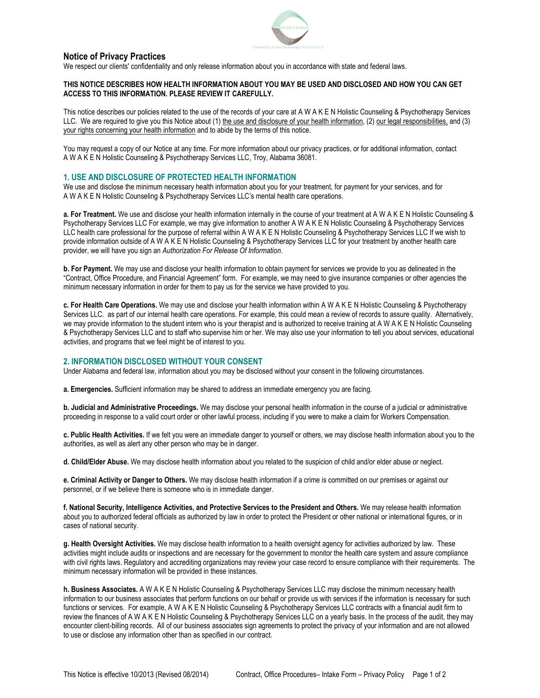

### **Notice of Privacy Practices**

We respect our clients' confidentiality and only release information about you in accordance with state and federal laws.

#### **THIS NOTICE DESCRIBES HOW HEALTH INFORMATION ABOUT YOU MAY BE USED AND DISCLOSED AND HOW YOU CAN GET ACCESS TO THIS INFORMATION. PLEASE REVIEW IT CAREFULLY.**

This notice describes our policies related to the use of the records of your care at A W A K E N Holistic Counseling & Psychotherapy Services LLC. We are required to give you this Notice about (1) the use and disclosure of your health information, (2) our legal responsibilities, and (3) your rights concerning your health information and to abide by the terms of this notice.

You may request a copy of our Notice at any time. For more information about our privacy practices, or for additional information, contact A W A K E N Holistic Counseling & Psychotherapy Services LLC, Troy, Alabama 36081.

### **1. USE AND DISCLOSURE OF PROTECTED HEALTH INFORMATION**

We use and disclose the minimum necessary health information about you for your treatment, for payment for your services, and for A W A K E N Holistic Counseling & Psychotherapy Services LLC's mental health care operations.

**a. For Treatment.** We use and disclose your health information internally in the course of your treatment at A W A K E N Holistic Counseling & Psychotherapy Services LLC For example, we may give information to another A W A K E N Holistic Counseling & Psychotherapy Services LLC health care professional for the purpose of referral within A W A K E N Holistic Counseling & Psychotherapy Services LLC If we wish to provide information outside of A W A K E N Holistic Counseling & Psychotherapy Services LLC for your treatment by another health care provider, we will have you sign an *Authorization For Release Of Information*.

**b. For Payment.** We may use and disclose your health information to obtain payment for services we provide to you as delineated in the "Contract, Office Procedure, and Financial Agreement" form. For example, we may need to give insurance companies or other agencies the minimum necessary information in order for them to pay us for the service we have provided to you.

**c. For Health Care Operations.** We may use and disclose your health information within A W A K E N Holistic Counseling & Psychotherapy Services LLC. as part of our internal health care operations. For example, this could mean a review of records to assure quality. Alternatively, we may provide information to the student intern who is your therapist and is authorized to receive training at A W A K E N Holistic Counseling & Psychotherapy Services LLC and to staff who supervise him or her. We may also use your information to tell you about services, educational activities, and programs that we feel might be of interest to you.

# **2. INFORMATION DISCLOSED WITHOUT YOUR CONSENT**

Under Alabama and federal law, information about you may be disclosed without your consent in the following circumstances.

**a. Emergencies.** Sufficient information may be shared to address an immediate emergency you are facing.

**b. Judicial and Administrative Proceedings.** We may disclose your personal health information in the course of a judicial or administrative proceeding in response to a valid court order or other lawful process, including if you were to make a claim for Workers Compensation.

**c. Public Health Activities.** If we felt you were an immediate danger to yourself or others, we may disclose health information about you to the authorities, as well as alert any other person who may be in danger.

**d. Child/Elder Abuse.** We may disclose health information about you related to the suspicion of child and/or elder abuse or neglect.

**e. Criminal Activity or Danger to Others.** We may disclose health information if a crime is committed on our premises or against our personnel, or if we believe there is someone who is in immediate danger.

**f. National Security, Intelligence Activities, and Protective Services to the President and Others.** We may release health information about you to authorized federal officials as authorized by law in order to protect the President or other national or international figures, or in cases of national security.

**g. Health Oversight Activities.** We may disclose health information to a health oversight agency for activities authorized by law. These activities might include audits or inspections and are necessary for the government to monitor the health care system and assure compliance with civil rights laws. Regulatory and accrediting organizations may review your case record to ensure compliance with their requirements. The minimum necessary information will be provided in these instances.

**h. Business Associates.** A W A K E N Holistic Counseling & Psychotherapy Services LLC may disclose the minimum necessary health information to our business associates that perform functions on our behalf or provide us with services if the information is necessary for such functions or services. For example, A W A K E N Holistic Counseling & Psychotherapy Services LLC contracts with a financial audit firm to review the finances of A W A K E N Holistic Counseling & Psychotherapy Services LLC on a yearly basis. In the process of the audit, they may encounter client-billing records. All of our business associates sign agreements to protect the privacy of your information and are not allowed to use or disclose any information other than as specified in our contract.